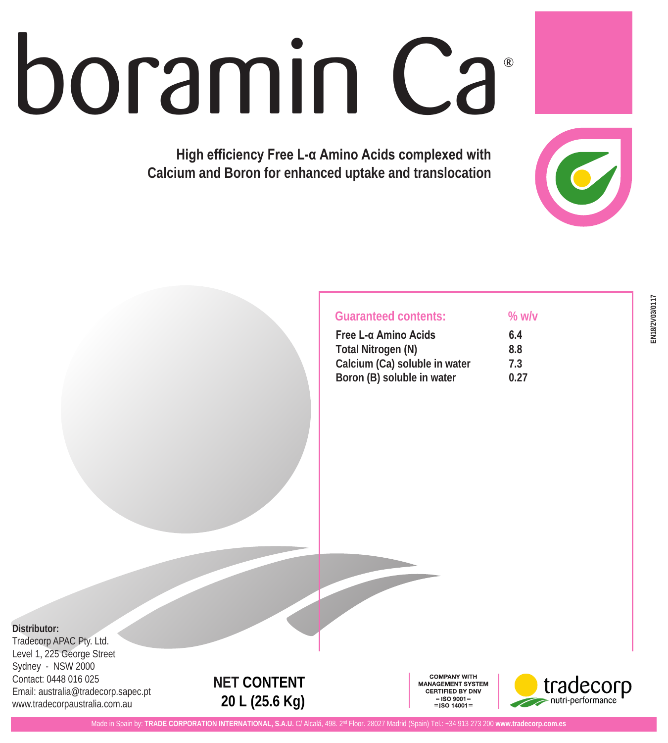# boramin Ca

**High efficiency Free L-α Amino Acids complexed with Calcium and Boron for enhanced uptake and translocation** 

# **Guaranteed contents: % w/v**

| Free L-α Amino Acids          | 6.4  |
|-------------------------------|------|
| Total Nitrogen (N)            | 8.8  |
| Calcium (Ca) soluble in water | 7.3  |
| Boron (B) soluble in water    | 0.27 |

# **Distributor:**

Tradecorp APAC Pty. Ltd. Level 1, 225 George Street Sydney - NSW 2000 Contact: 0448 016 025 Email: australia@tradecorp.sapec.pt www.tradecorpaustralia.com.au

# **NET CONTENT 20 L (25.6 Kg)**

**COMPANY WITH** MANAGEMENT SYSTEM **CERTIFIED BY DNV**  $=$ ISO 9001 $=$  $=$  ISO 14001 =



 $\bigcirc$